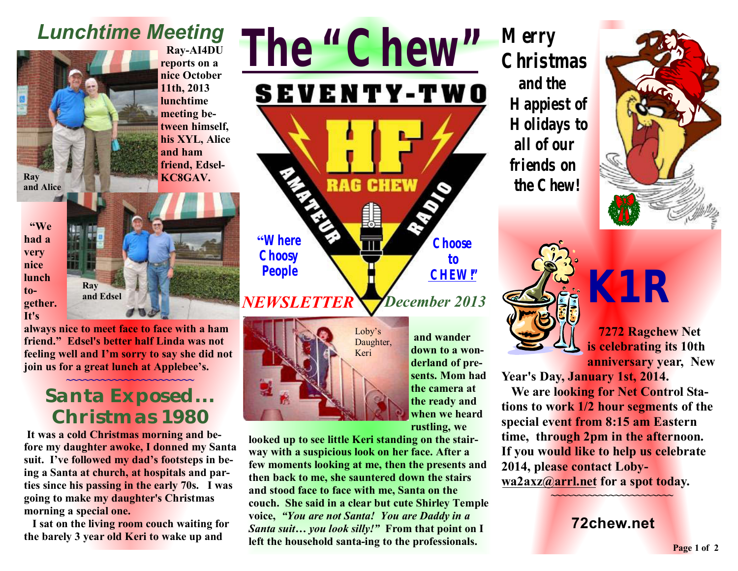# *Lunchtime Meeting*



 **Ray-AI4DU reports on a nice October 11th, 2013 lunchtime meeting between himself, his XYL, Alice and ham friend, Edsel-KC8GAV.** 

 **"We had a very nice lunch together. It's** 



**always nice to meet face to face with a ham friend." Edsel's better half Linda was not feeling well and I'm sorry to say she did not join us for a great lunch at Applebee's.** 

#### **~~~~~~~~~~~~~~~~~~~~~~ Santa Exposed... Christmas 1980**

**It was a cold Christmas morning and before my daughter awoke, I donned my Santa suit. I've followed my dad's footsteps in being a Santa at church, at hospitals and parties since his passing in the early 70s. I was going to make my daughter's Christmas morning a special one.** 

**I sat on the living room couch waiting for the barely 3 year old Keri to wake up and** 





**and wander down to a wonderland of presents. Mom had the camera at the ready and when we heard rustling, we** 

**looked up to see little Keri standing on the stairway with a suspicious look on her face. After a few moments looking at me, then the presents and then back to me, she sauntered down the stairs and stood face to face with me, Santa on the couch. She said in a clear but cute Shirley Temple voice,** *"You are not Santa! You are Daddy in a Santa suit… you look silly!"* **From that point on I left the household santa-ing to the professionals.** 

**Merry Christmas and the Happiest of Holidays to all of our friends on the Chew!**





*K1R* 

**7272 Ragchew Net is celebrating its 10th anniversary year, New** 

**Year's Day, January 1st, 2014.** 

 **We are looking for Net Control Stations to work 1/2 hour segments of the special event from 8:15 am Eastern time, through 2pm in the afternoon. If you would like to help us celebrate 2014, please contact Loby[wa2axz@arrl.net](mailto:wa2axz@arrl.net) for a spot today.** 

**72chew.net**

**~~~~~~~~~~~~~~~~~~~~~~~**